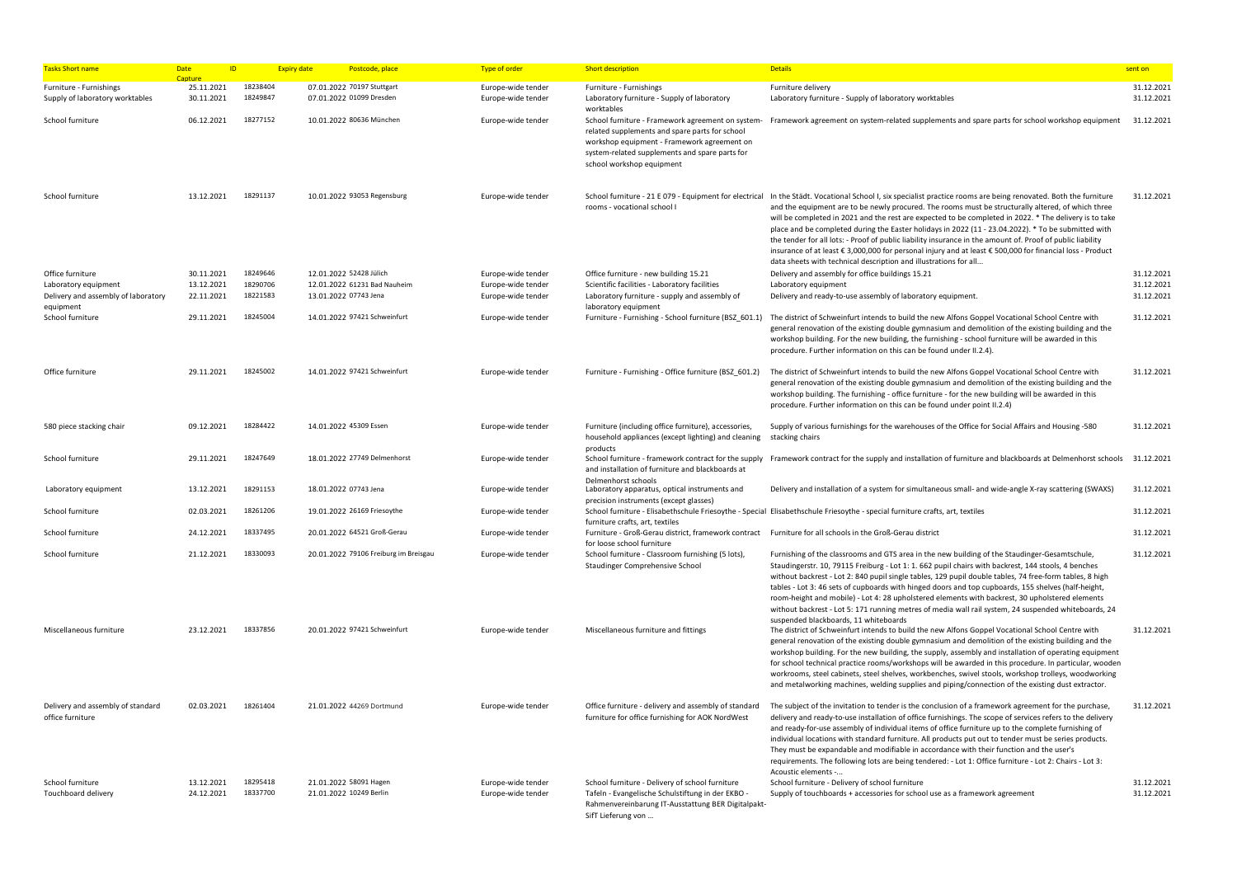| <b>Tasks Short name</b>                                                         | <b>Date</b><br>ID                      |                                  | <b>Expiry date</b><br>Postcode, place                                            | <b>Type of order</b>                                           | <b>Short description</b>                                                                                                                                                                   | <b>Details</b>                                                                                                                                                                                                                                                                                                                                                                                                                                                                                                                                                                                                                                                                                                                                                                        | sent on                                |
|---------------------------------------------------------------------------------|----------------------------------------|----------------------------------|----------------------------------------------------------------------------------|----------------------------------------------------------------|--------------------------------------------------------------------------------------------------------------------------------------------------------------------------------------------|---------------------------------------------------------------------------------------------------------------------------------------------------------------------------------------------------------------------------------------------------------------------------------------------------------------------------------------------------------------------------------------------------------------------------------------------------------------------------------------------------------------------------------------------------------------------------------------------------------------------------------------------------------------------------------------------------------------------------------------------------------------------------------------|----------------------------------------|
| Furniture - Furnishings<br>Supply of laboratory worktables                      | Capture<br>25.11.2021<br>30.11.2021    | 18238404<br>18249847             | 07.01.2022 70197 Stuttgart<br>07.01.2022 01099 Dresden                           | Europe-wide tender<br>Europe-wide tender                       | Furniture - Furnishings<br>Laboratory furniture - Supply of laboratory                                                                                                                     | Furniture delivery<br>Laboratory furniture - Supply of laboratory worktables                                                                                                                                                                                                                                                                                                                                                                                                                                                                                                                                                                                                                                                                                                          | 31.12.2021<br>31.12.2021               |
| School furniture                                                                | 06.12.2021                             | 18277152                         | 10.01.2022 80636 München                                                         | Europe-wide tender                                             | worktables<br>related supplements and spare parts for school<br>workshop equipment - Framework agreement on<br>system-related supplements and spare parts for<br>school workshop equipment | School furniture - Framework agreement on system- Framework agreement on system-related supplements and spare parts for school workshop equipment                                                                                                                                                                                                                                                                                                                                                                                                                                                                                                                                                                                                                                     | 31.12.2021                             |
| School furniture                                                                | 13.12.2021                             | 18291137                         | 10.01.2022 93053 Regensburg                                                      | Europe-wide tender                                             | rooms - vocational school I                                                                                                                                                                | School furniture - 21 E 079 - Equipment for electrical In the Städt. Vocational School I, six specialist practice rooms are being renovated. Both the furniture<br>and the equipment are to be newly procured. The rooms must be structurally altered, of which three<br>will be completed in 2021 and the rest are expected to be completed in 2022. * The delivery is to take<br>place and be completed during the Easter holidays in 2022 (11 - 23.04.2022). * To be submitted with<br>the tender for all lots: - Proof of public liability insurance in the amount of. Proof of public liability<br>insurance of at least € 3,000,000 for personal injury and at least € 500,000 for financial loss - Product<br>data sheets with technical description and illustrations for all | 31.12.2021                             |
| Office furniture<br>Laboratory equipment<br>Delivery and assembly of laboratory | 30.11.2021<br>13.12.2021<br>22.11.2021 | 18249646<br>18290706<br>18221583 | 12.01.2022 52428 Jülich<br>12.01.2022 61231 Bad Nauheim<br>13.01.2022 07743 Jena | Europe-wide tender<br>Europe-wide tender<br>Europe-wide tender | Office furniture - new building 15.21<br>Scientific facilities - Laboratory facilities<br>Laboratory furniture - supply and assembly of                                                    | Delivery and assembly for office buildings 15.21<br>Laboratory equipment<br>Delivery and ready-to-use assembly of laboratory equipment.                                                                                                                                                                                                                                                                                                                                                                                                                                                                                                                                                                                                                                               | 31.12.2021<br>31.12.2021<br>31.12.2021 |
| equipment<br>School furniture                                                   | 29.11.2021                             | 18245004                         | 14.01.2022 97421 Schweinfurt                                                     | Europe-wide tender                                             | laboratory equipment<br>Furniture - Furnishing - School furniture (BSZ 601.1)                                                                                                              | The district of Schweinfurt intends to build the new Alfons Goppel Vocational School Centre with<br>general renovation of the existing double gymnasium and demolition of the existing building and the<br>workshop building. For the new building, the furnishing - school furniture will be awarded in this<br>procedure. Further information on this can be found under II.2.4).                                                                                                                                                                                                                                                                                                                                                                                                   | 31.12.2021                             |
| Office furniture                                                                | 29.11.2021                             | 18245002                         | 14.01.2022 97421 Schweinfurt                                                     | Europe-wide tender                                             | Furniture - Furnishing - Office furniture (BSZ_601.2)                                                                                                                                      | The district of Schweinfurt intends to build the new Alfons Goppel Vocational School Centre with<br>general renovation of the existing double gymnasium and demolition of the existing building and the<br>workshop building. The furnishing - office furniture - for the new building will be awarded in this<br>procedure. Further information on this can be found under point II.2.4)                                                                                                                                                                                                                                                                                                                                                                                             | 31.12.2021                             |
| 580 piece stacking chair                                                        | 09.12.2021                             | 18284422                         | 14.01.2022 45309 Essen                                                           | Europe-wide tender                                             | Furniture (including office furniture), accessories,<br>household appliances (except lighting) and cleaning<br>products                                                                    | Supply of various furnishings for the warehouses of the Office for Social Affairs and Housing -580<br>stacking chairs                                                                                                                                                                                                                                                                                                                                                                                                                                                                                                                                                                                                                                                                 | 31.12.2021                             |
| School furniture                                                                | 29.11.2021                             | 18247649                         | 18.01.2022 27749 Delmenhorst                                                     | Europe-wide tender                                             | and installation of furniture and blackboards at<br>Delmenhorst schools                                                                                                                    | School furniture - framework contract for the supply Framework contract for the supply and installation of furniture and blackboards at Delmenhorst schools 31.12.2021                                                                                                                                                                                                                                                                                                                                                                                                                                                                                                                                                                                                                |                                        |
| Laboratory equipment                                                            | 13.12.2021                             | 18291153                         | 18.01.2022 07743 Jena                                                            | Europe-wide tender                                             | Laboratory apparatus, optical instruments and<br>precision instruments (except glasses)                                                                                                    | Delivery and installation of a system for simultaneous small- and wide-angle X-ray scattering (SWAXS)                                                                                                                                                                                                                                                                                                                                                                                                                                                                                                                                                                                                                                                                                 | 31.12.2021                             |
| School furniture                                                                | 02.03.2021                             | 18261206                         | 19.01.2022 26169 Friesoythe                                                      | Europe-wide tender                                             | furniture crafts, art, textiles                                                                                                                                                            | School furniture - Elisabethschule Friesoythe - Special Elisabethschule Friesoythe - special furniture crafts, art, textiles                                                                                                                                                                                                                                                                                                                                                                                                                                                                                                                                                                                                                                                          | 31.12.2021                             |
| School furniture                                                                | 24.12.2021                             | 18337495                         | 20.01.2022 64521 Groß-Gerau                                                      | Europe-wide tender                                             | Furniture - Groß-Gerau district, framework contract Furniture for all schools in the Groß-Gerau district<br>for loose school furniture                                                     |                                                                                                                                                                                                                                                                                                                                                                                                                                                                                                                                                                                                                                                                                                                                                                                       | 31.12.2021                             |
| School furniture                                                                | 21.12.2021                             | 18330093                         | 20.01.2022 79106 Freiburg im Breisgau                                            | Europe-wide tender                                             | School furniture - Classroom furnishing (5 lots),<br>Staudinger Comprehensive School                                                                                                       | Furnishing of the classrooms and GTS area in the new building of the Staudinger-Gesamtschule,<br>Staudingerstr. 10, 79115 Freiburg - Lot 1: 1. 662 pupil chairs with backrest, 144 stools, 4 benches<br>without backrest - Lot 2: 840 pupil single tables, 129 pupil double tables, 74 free-form tables, 8 high<br>tables - Lot 3: 46 sets of cupboards with hinged doors and top cupboards, 155 shelves (half-height,<br>room-height and mobile) - Lot 4: 28 upholstered elements with backrest, 30 upholstered elements<br>without backrest - Lot 5: 171 running metres of media wall rail system, 24 suspended whiteboards, 24<br>suspended blackboards, 11 whiteboards                                                                                                            | 31.12.2021                             |
| Miscellaneous furniture                                                         | 23.12.2021                             | 18337856                         | 20.01.2022 97421 Schweinfurt                                                     | Europe-wide tender                                             | Miscellaneous furniture and fittings                                                                                                                                                       | The district of Schweinfurt intends to build the new Alfons Goppel Vocational School Centre with<br>general renovation of the existing double gymnasium and demolition of the existing building and the<br>workshop building. For the new building, the supply, assembly and installation of operating equipment<br>for school technical practice rooms/workshops will be awarded in this procedure. In particular, wooden<br>workrooms, steel cabinets, steel shelves, workbenches, swivel stools, workshop trolleys, woodworking<br>and metalworking machines, welding supplies and piping/connection of the existing dust extractor.                                                                                                                                               | 31.12.2021                             |
| Delivery and assembly of standard<br>office furniture                           | 02.03.2021                             | 18261404                         | 21.01.2022 44269 Dortmund                                                        | Europe-wide tender                                             | Office furniture - delivery and assembly of standard<br>furniture for office furnishing for AOK NordWest                                                                                   | The subject of the invitation to tender is the conclusion of a framework agreement for the purchase,<br>delivery and ready-to-use installation of office furnishings. The scope of services refers to the delivery<br>and ready-for-use assembly of individual items of office furniture up to the complete furnishing of<br>individual locations with standard furniture. All products put out to tender must be series products.<br>They must be expandable and modifiable in accordance with their function and the user's<br>requirements. The following lots are being tendered: - Lot 1: Office furniture - Lot 2: Chairs - Lot 3:<br>Acoustic elements -                                                                                                                       | 31.12.2021                             |
| School furniture<br>Touchboard delivery                                         | 13.12.2021<br>24.12.2021               | 18295418<br>18337700             | 21.01.2022 58091 Hagen<br>21.01.2022 10249 Berlin                                | Europe-wide tender<br>Europe-wide tender                       | School furniture - Delivery of school furniture<br>Tafeln - Evangelische Schulstiftung in der EKBO -<br>Rahmenvereinbarung IT-Ausstattung BER Digitalpakt-<br>SifT Lieferung von           | School furniture - Delivery of school furniture<br>Supply of touchboards + accessories for school use as a framework agreement                                                                                                                                                                                                                                                                                                                                                                                                                                                                                                                                                                                                                                                        | 31.12.2021<br>31.12.2021               |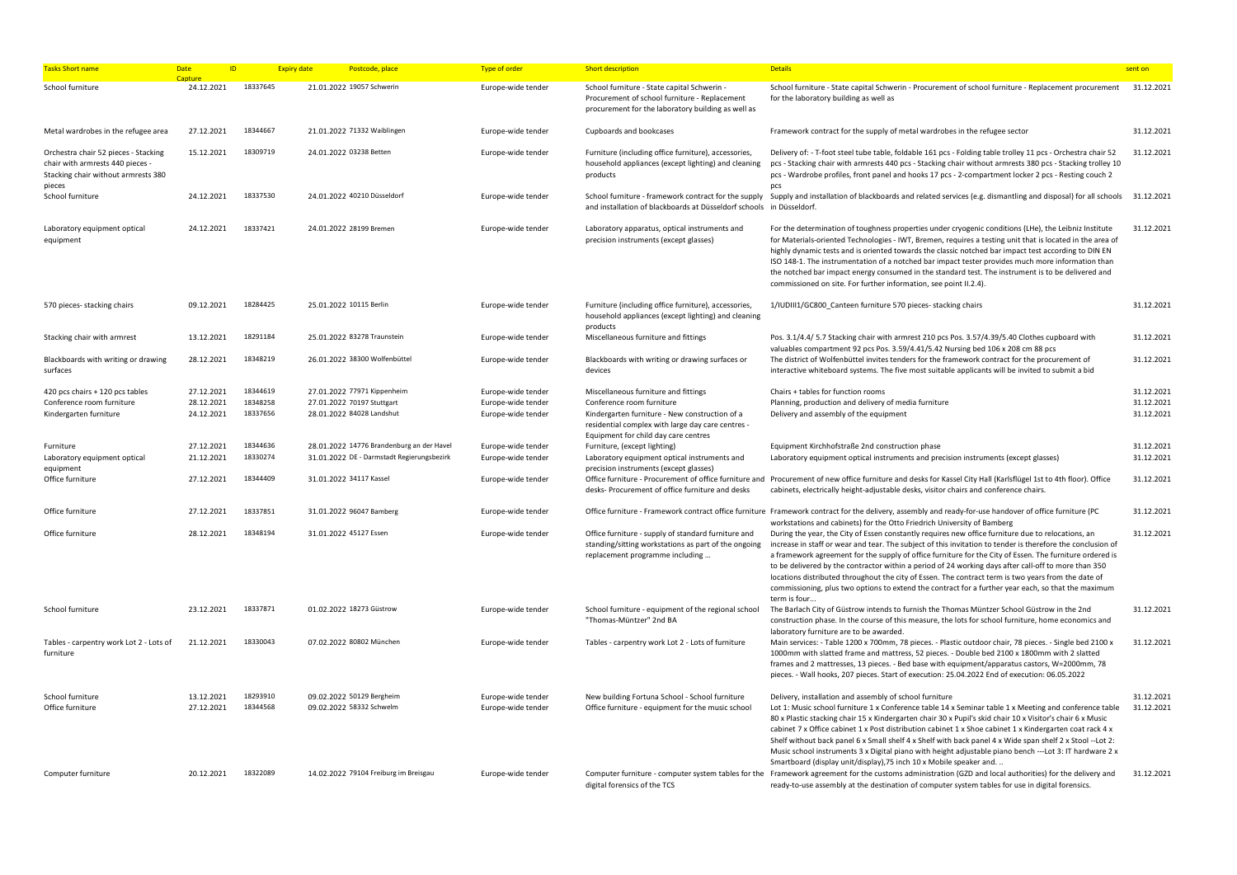| <b>Tasks Short name</b>                                                                                         | Date<br>ID.<br>Canture   | <b>Expiry date</b>   | Postcode, place                                                                         | <b>Type of order</b>                     | <b>Short description</b>                                                                                                                                                 | <b>Details</b>                                                                                                                                                                                                                                                                                                                                                                                                                                                                                                                                                                                                                                                                              | sent on                  |
|-----------------------------------------------------------------------------------------------------------------|--------------------------|----------------------|-----------------------------------------------------------------------------------------|------------------------------------------|--------------------------------------------------------------------------------------------------------------------------------------------------------------------------|---------------------------------------------------------------------------------------------------------------------------------------------------------------------------------------------------------------------------------------------------------------------------------------------------------------------------------------------------------------------------------------------------------------------------------------------------------------------------------------------------------------------------------------------------------------------------------------------------------------------------------------------------------------------------------------------|--------------------------|
| School furniture                                                                                                | 24.12.2021               | 18337645             | 21.01.2022 19057 Schwerin                                                               | Europe-wide tender                       | School furniture - State capital Schwerin -<br>Procurement of school furniture - Replacement<br>procurement for the laboratory building as well as                       | School furniture - State capital Schwerin - Procurement of school furniture - Replacement procurement<br>for the laboratory building as well as                                                                                                                                                                                                                                                                                                                                                                                                                                                                                                                                             | 31.12.2021               |
| Metal wardrobes in the refugee area                                                                             | 27.12.2021               | 18344667             | 21.01.2022 71332 Waiblingen                                                             | Europe-wide tender                       | Cupboards and bookcases                                                                                                                                                  | Framework contract for the supply of metal wardrobes in the refugee sector                                                                                                                                                                                                                                                                                                                                                                                                                                                                                                                                                                                                                  | 31.12.2021               |
| Orchestra chair 52 pieces - Stacking<br>chair with armrests 440 pieces -<br>Stacking chair without armrests 380 | 15.12.2021               | 18309719             | 24.01.2022 03238 Betten                                                                 | Europe-wide tender                       | Furniture (including office furniture), accessories,<br>household appliances (except lighting) and cleaning<br>products                                                  | Delivery of: - T-foot steel tube table, foldable 161 pcs - Folding table trolley 11 pcs - Orchestra chair 52<br>pcs - Stacking chair with armrests 440 pcs - Stacking chair without armrests 380 pcs - Stacking trolley 10<br>pcs - Wardrobe profiles, front panel and hooks 17 pcs - 2-compartment locker 2 pcs - Resting couch 2                                                                                                                                                                                                                                                                                                                                                          | 31.12.2021               |
| pieces<br>School furniture                                                                                      | 24.12.2021               | 18337530             | 24.01.2022 40210 Düsseldorf                                                             | Europe-wide tender                       | School furniture - framework contract for the supply<br>and installation of blackboards at Düsseldorf schools in Düsseldorf.                                             | pcs<br>Supply and installation of blackboards and related services (e.g. dismantling and disposal) for all schools 31.12.2021                                                                                                                                                                                                                                                                                                                                                                                                                                                                                                                                                               |                          |
| Laboratory equipment optical<br>equipment                                                                       | 24.12.2021               | 18337421             | 24.01.2022 28199 Bremen                                                                 | Europe-wide tender                       | Laboratory apparatus, optical instruments and<br>precision instruments (except glasses)                                                                                  | For the determination of toughness properties under cryogenic conditions (LHe), the Leibniz Institute<br>for Materials-oriented Technologies - IWT, Bremen, requires a testing unit that is located in the area of<br>highly dynamic tests and is oriented towards the classic notched bar impact test according to DIN EN<br>ISO 148-1. The instrumentation of a notched bar impact tester provides much more information than<br>the notched bar impact energy consumed in the standard test. The instrument is to be delivered and<br>commissioned on site. For further information, see point II.2.4).                                                                                  | 31.12.2021               |
| 570 pieces- stacking chairs                                                                                     | 09.12.2021               | 18284425             | 25.01.2022 10115 Berlin                                                                 | Europe-wide tender                       | Furniture (including office furniture), accessories,<br>household appliances (except lighting) and cleaning<br>products                                                  | 1/IUDIII1/GC800 Canteen furniture 570 pieces- stacking chairs                                                                                                                                                                                                                                                                                                                                                                                                                                                                                                                                                                                                                               | 31.12.2021               |
| Stacking chair with armrest                                                                                     | 13.12.2021               | 18291184             | 25.01.2022 83278 Traunstein                                                             | Europe-wide tender                       | Miscellaneous furniture and fittings                                                                                                                                     | Pos. 3.1/4.4/ 5.7 Stacking chair with armrest 210 pcs Pos. 3.57/4.39/5.40 Clothes cupboard with<br>valuables compartment 92 pcs Pos. 3.59/4.41/5.42 Nursing bed 106 x 208 cm 88 pcs                                                                                                                                                                                                                                                                                                                                                                                                                                                                                                         | 31.12.2021               |
| Blackboards with writing or drawing<br>surfaces                                                                 | 28.12.2021               | 18348219             | 26.01.2022 38300 Wolfenbüttel                                                           | Europe-wide tender                       | Blackboards with writing or drawing surfaces or<br>devices                                                                                                               | The district of Wolfenbüttel invites tenders for the framework contract for the procurement of<br>interactive whiteboard systems. The five most suitable applicants will be invited to submit a bid                                                                                                                                                                                                                                                                                                                                                                                                                                                                                         | 31.12.2021               |
| 420 pcs chairs + 120 pcs tables                                                                                 | 27.12.2021               | 18344619             | 27.01.2022 77971 Kippenheim                                                             | Europe-wide tender                       | Miscellaneous furniture and fittings                                                                                                                                     | Chairs + tables for function rooms                                                                                                                                                                                                                                                                                                                                                                                                                                                                                                                                                                                                                                                          | 31.12.2021               |
| Conference room furniture<br>Kindergarten furniture                                                             | 28.12.2021<br>24.12.2021 | 18348258<br>18337656 | 27.01.2022 70197 Stuttgart<br>28.01.2022 84028 Landshut                                 | Europe-wide tender<br>Europe-wide tender | Conference room furniture<br>Kindergarten furniture - New construction of a<br>residential complex with large day care centres -<br>Equipment for child day care centres | Planning, production and delivery of media furniture<br>Delivery and assembly of the equipment                                                                                                                                                                                                                                                                                                                                                                                                                                                                                                                                                                                              | 31.12.2021<br>31.12.2021 |
| Furniture<br>Laboratory equipment optical<br>equipment                                                          | 27.12.2021<br>21.12.2021 | 18344636<br>18330274 | 28.01.2022 14776 Brandenburg an der Havel<br>31.01.2022 DE - Darmstadt Regierungsbezirk | Europe-wide tender<br>Europe-wide tender | Furniture, (except lighting)<br>Laboratory equipment optical instruments and<br>precision instruments (except glasses)                                                   | Equipment Kirchhofstraße 2nd construction phase<br>Laboratory equipment optical instruments and precision instruments (except glasses)                                                                                                                                                                                                                                                                                                                                                                                                                                                                                                                                                      | 31.12.2021<br>31.12.2021 |
| Office furniture                                                                                                | 27.12.2021               | 18344409             | 31.01.2022 34117 Kassel                                                                 | Europe-wide tender                       | desks- Procurement of office furniture and desks                                                                                                                         | Office furniture - Procurement of office furniture and Procurement of new office furniture and desks for Kassel City Hall (Karlsflügel 1st to 4th floor). Office<br>cabinets, electrically height-adjustable desks, visitor chairs and conference chairs.                                                                                                                                                                                                                                                                                                                                                                                                                                   | 31.12.2021               |
| Office furniture                                                                                                | 27.12.2021               | 18337851             | 31.01.2022 96047 Bamberg                                                                | Europe-wide tender                       |                                                                                                                                                                          | Office furniture - Framework contract office furniture Framework contract for the delivery, assembly and ready-for-use handover of office furniture (PC<br>workstations and cabinets) for the Otto Friedrich University of Bamberg                                                                                                                                                                                                                                                                                                                                                                                                                                                          | 31.12.2021               |
| Office furniture                                                                                                | 28.12.2021               | 18348194             | 31.01.2022 45127 Essen                                                                  | Europe-wide tender                       | Office furniture - supply of standard furniture and<br>standing/sitting workstations as part of the ongoing<br>replacement programme including                           | During the year, the City of Essen constantly requires new office furniture due to relocations, an<br>increase in staff or wear and tear. The subject of this invitation to tender is therefore the conclusion of<br>a framework agreement for the supply of office furniture for the City of Essen. The furniture ordered is<br>to be delivered by the contractor within a period of 24 working days after call-off to more than 350<br>locations distributed throughout the city of Essen. The contract term is two years from the date of<br>commissioning, plus two options to extend the contract for a further year each, so that the maximum<br>term is four                         | 31.12.2021               |
| School furniture                                                                                                | 23.12.2021               | 18337871             | 01.02.2022 18273 Güstrow                                                                | Europe-wide tender                       | School furniture - equipment of the regional school<br>"Thomas-Müntzer" 2nd BA                                                                                           | The Barlach City of Güstrow intends to furnish the Thomas Müntzer School Güstrow in the 2nd<br>construction phase. In the course of this measure, the lots for school furniture, home economics and<br>laboratory furniture are to be awarded.                                                                                                                                                                                                                                                                                                                                                                                                                                              | 31.12.2021               |
| Tables - carpentry work Lot 2 - Lots of<br>furniture                                                            | 21.12.2021               | 18330043             | 07.02.2022 80802 München                                                                | Europe-wide tender                       | Tables - carpentry work Lot 2 - Lots of furniture                                                                                                                        | Main services: - Table 1200 x 700mm, 78 pieces. - Plastic outdoor chair, 78 pieces. - Single bed 2100 x<br>1000mm with slatted frame and mattress, 52 pieces. - Double bed 2100 x 1800mm with 2 slatted<br>frames and 2 mattresses, 13 pieces. - Bed base with equipment/apparatus castors, W=2000mm, 78<br>pieces. - Wall hooks, 207 pieces. Start of execution: 25.04.2022 End of execution: 06.05.2022                                                                                                                                                                                                                                                                                   | 31.12.2021               |
| School furniture<br>Office furniture                                                                            | 13.12.2021<br>27.12.2021 | 18293910<br>18344568 | 09.02.2022 50129 Bergheim<br>09.02.2022 58332 Schwelm                                   | Europe-wide tender<br>Europe-wide tender | New building Fortuna School - School furniture<br>Office furniture - equipment for the music school                                                                      | Delivery, installation and assembly of school furniture<br>Lot 1: Music school furniture 1 x Conference table 14 x Seminar table 1 x Meeting and conference table<br>80 x Plastic stacking chair 15 x Kindergarten chair 30 x Pupil's skid chair 10 x Visitor's chair 6 x Music<br>cabinet 7 x Office cabinet 1 x Post distribution cabinet 1 x Shoe cabinet 1 x Kindergarten coat rack 4 x<br>Shelf without back panel 6 x Small shelf 4 x Shelf with back panel 4 x Wide span shelf 2 x Stool -- Lot 2:<br>Music school instruments 3 x Digital piano with height adjustable piano bench ---Lot 3: IT hardware 2 x<br>Smartboard (display unit/display), 75 inch 10 x Mobile speaker and. | 31.12.2021<br>31.12.2021 |
| Computer furniture                                                                                              | 20.12.2021               | 18322089             | 14.02.2022 79104 Freiburg im Breisgau                                                   | Europe-wide tender                       | digital forensics of the TCS                                                                                                                                             | Computer furniture - computer system tables for the Framework agreement for the customs administration (GZD and local authorities) for the delivery and<br>ready-to-use assembly at the destination of computer system tables for use in digital forensics.                                                                                                                                                                                                                                                                                                                                                                                                                                 | 31.12.2021               |